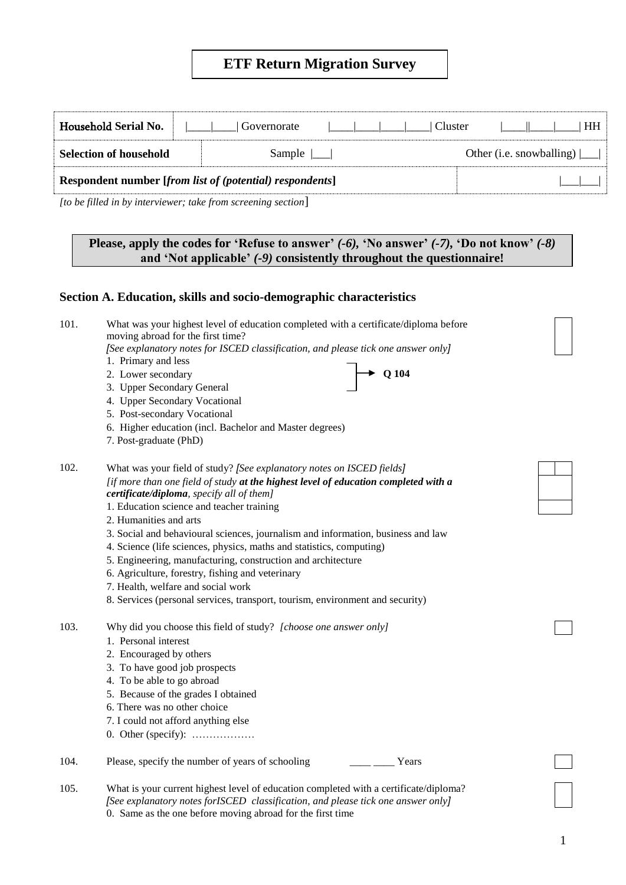# **ETF Return Migration Survey**

| Household Serial No.          | Governorate                                                     | Cluster<br>HH I                    |
|-------------------------------|-----------------------------------------------------------------|------------------------------------|
| <b>Selection of household</b> | Sample                                                          | Other (i.e. snowballing) $\lfloor$ |
|                               | <b>Respondent number [from list of (potential) respondents]</b> |                                    |

*[to be filled in by interviewer; take from screening section*]

## **Please, apply the codes for 'Refuse to answer'** *(-6),* **'No answer'** *(-7),* **'Do not know'** *(-8)*  **and 'Not applicable'** *(-9)* **consistently throughout the questionnaire!**

## **Section A. Education, skills and socio-demographic characteristics**

| 101. | What was your highest level of education completed with a certificate/diploma before<br>moving abroad for the first time? |  |
|------|---------------------------------------------------------------------------------------------------------------------------|--|
|      | [See explanatory notes for ISCED classification, and please tick one answer only]                                         |  |
|      | 1. Primary and less                                                                                                       |  |
|      | $Q$ 104<br>2. Lower secondary                                                                                             |  |
|      | 3. Upper Secondary General                                                                                                |  |
|      | 4. Upper Secondary Vocational                                                                                             |  |
|      | 5. Post-secondary Vocational                                                                                              |  |
|      | 6. Higher education (incl. Bachelor and Master degrees)                                                                   |  |
|      | 7. Post-graduate (PhD)                                                                                                    |  |
| 102. | What was your field of study? [See explanatory notes on ISCED fields]                                                     |  |
|      | [if more than one field of study at the highest level of education completed with a                                       |  |
|      | certificate/diploma, specify all of them]                                                                                 |  |
|      | 1. Education science and teacher training                                                                                 |  |
|      | 2. Humanities and arts                                                                                                    |  |
|      | 3. Social and behavioural sciences, journalism and information, business and law                                          |  |
|      | 4. Science (life sciences, physics, maths and statistics, computing)                                                      |  |
|      | 5. Engineering, manufacturing, construction and architecture                                                              |  |
|      | 6. Agriculture, forestry, fishing and veterinary                                                                          |  |
|      | 7. Health, welfare and social work                                                                                        |  |
|      | 8. Services (personal services, transport, tourism, environment and security)                                             |  |
| 103. | Why did you choose this field of study? [choose one answer only]                                                          |  |
|      | 1. Personal interest                                                                                                      |  |
|      | 2. Encouraged by others                                                                                                   |  |
|      | 3. To have good job prospects                                                                                             |  |
|      | 4. To be able to go abroad                                                                                                |  |
|      | 5. Because of the grades I obtained                                                                                       |  |
|      | 6. There was no other choice                                                                                              |  |
|      | 7. I could not afford anything else                                                                                       |  |
|      | 0. Other (specify): $\dots$                                                                                               |  |
| 104. | Please, specify the number of years of schooling<br>Years                                                                 |  |
| 105. | What is your current highest level of education completed with a certificate/diploma?                                     |  |
|      | [See explanatory notes for SCED classification, and please tick one answer only]                                          |  |

0. Same as the one before moving abroad for the first time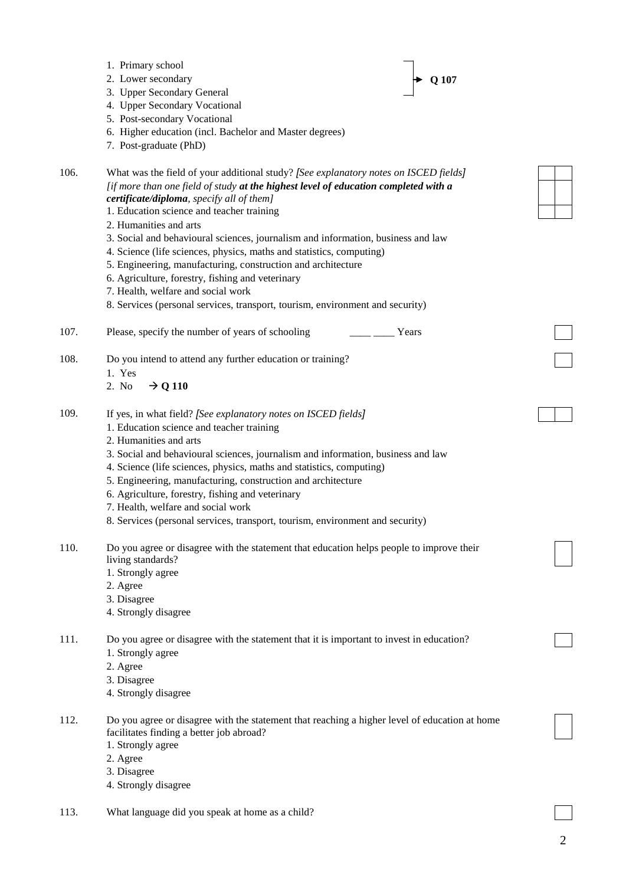|      | 1. Primary school<br>2. Lower secondary<br>Q 107<br>3. Upper Secondary General<br>4. Upper Secondary Vocational<br>5. Post-secondary Vocational<br>6. Higher education (incl. Bachelor and Master degrees)<br>7. Post-graduate (PhD)                                                                                                                                                                                                                                                                                                                                                                                                                                                                   |  |
|------|--------------------------------------------------------------------------------------------------------------------------------------------------------------------------------------------------------------------------------------------------------------------------------------------------------------------------------------------------------------------------------------------------------------------------------------------------------------------------------------------------------------------------------------------------------------------------------------------------------------------------------------------------------------------------------------------------------|--|
| 106. | What was the field of your additional study? [See explanatory notes on ISCED fields]<br>[if more than one field of study at the highest level of education completed with a<br>certificate/diploma, specify all of them]<br>1. Education science and teacher training<br>2. Humanities and arts<br>3. Social and behavioural sciences, journalism and information, business and law<br>4. Science (life sciences, physics, maths and statistics, computing)<br>5. Engineering, manufacturing, construction and architecture<br>6. Agriculture, forestry, fishing and veterinary<br>7. Health, welfare and social work<br>8. Services (personal services, transport, tourism, environment and security) |  |
| 107. | Please, specify the number of years of schooling<br>Years                                                                                                                                                                                                                                                                                                                                                                                                                                                                                                                                                                                                                                              |  |
| 108. | Do you intend to attend any further education or training?<br>1. Yes<br>$\rightarrow$ Q 110<br>2. No                                                                                                                                                                                                                                                                                                                                                                                                                                                                                                                                                                                                   |  |
| 109. | If yes, in what field? [See explanatory notes on ISCED fields]<br>1. Education science and teacher training<br>2. Humanities and arts<br>3. Social and behavioural sciences, journalism and information, business and law<br>4. Science (life sciences, physics, maths and statistics, computing)<br>5. Engineering, manufacturing, construction and architecture<br>6. Agriculture, forestry, fishing and veterinary<br>7. Health, welfare and social work<br>8. Services (personal services, transport, tourism, environment and security)                                                                                                                                                           |  |
| 110. | Do you agree or disagree with the statement that education helps people to improve their<br>living standards?<br>1. Strongly agree<br>2. Agree<br>3. Disagree<br>4. Strongly disagree                                                                                                                                                                                                                                                                                                                                                                                                                                                                                                                  |  |
| 111. | Do you agree or disagree with the statement that it is important to invest in education?<br>1. Strongly agree<br>2. Agree<br>3. Disagree<br>4. Strongly disagree                                                                                                                                                                                                                                                                                                                                                                                                                                                                                                                                       |  |
| 112. | Do you agree or disagree with the statement that reaching a higher level of education at home<br>facilitates finding a better job abroad?<br>1. Strongly agree<br>2. Agree<br>3. Disagree<br>4. Strongly disagree                                                                                                                                                                                                                                                                                                                                                                                                                                                                                      |  |

113. What language did you speak at home as a child?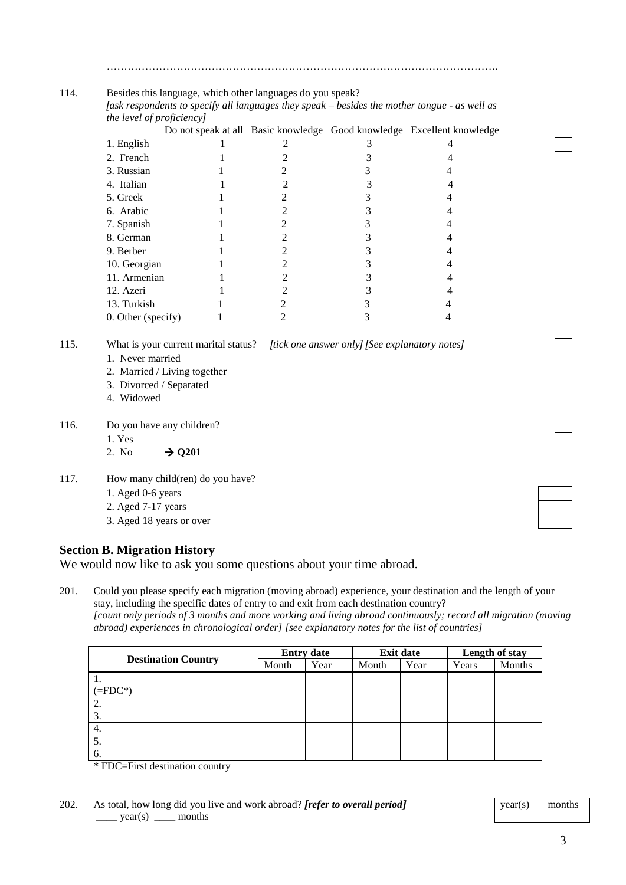|      |                              |   |                |                                                                                            | Do not speak at all Basic knowledge Good knowledge Excellent knowledge |  |  |
|------|------------------------------|---|----------------|--------------------------------------------------------------------------------------------|------------------------------------------------------------------------|--|--|
|      | 1. English                   |   | 2              | 3                                                                                          | 4                                                                      |  |  |
|      | 2. French                    |   | 2              | 3                                                                                          | 4                                                                      |  |  |
|      | 3. Russian                   |   | 2              | 3                                                                                          | 4                                                                      |  |  |
|      | 4. Italian                   |   | 2              | 3                                                                                          | 4                                                                      |  |  |
|      | 5. Greek                     |   | $\overline{2}$ | 3                                                                                          | 4                                                                      |  |  |
|      | 6. Arabic                    |   | $\overline{2}$ | 3                                                                                          | 4                                                                      |  |  |
|      | 7. Spanish                   |   | 2              | 3                                                                                          | 4                                                                      |  |  |
|      | 8. German                    |   | $\overline{c}$ | 3                                                                                          | 4                                                                      |  |  |
|      | 9. Berber                    |   | 2              | 3                                                                                          | 4                                                                      |  |  |
|      | 10. Georgian                 |   | 2              | 3                                                                                          | 4                                                                      |  |  |
|      | 11. Armenian                 |   | 2              | 3                                                                                          | 4                                                                      |  |  |
|      | 12. Azeri                    |   | 2              | 3                                                                                          | 4                                                                      |  |  |
|      | 13. Turkish                  |   | 2              | 3                                                                                          | 4                                                                      |  |  |
|      | 0. Other (specify)           | 1 | $\overline{2}$ | 3                                                                                          | 4                                                                      |  |  |
| 115. |                              |   |                | What is your current marital status? <i>[tick one answer only]</i> [See explanatory notes] |                                                                        |  |  |
|      | 1. Never married             |   |                |                                                                                            |                                                                        |  |  |
|      | 2. Married / Living together |   |                |                                                                                            |                                                                        |  |  |
|      | 3. Divorced / Separated      |   |                |                                                                                            |                                                                        |  |  |
|      |                              |   |                |                                                                                            |                                                                        |  |  |

………………………………………………………………………………………………….

- 4. Widowed
- 116. Do you have any children?
	- 1. Yes 2. No  $\rightarrow$  Q201
- 117. How many child(ren) do you have?
	- 1. Aged 0-6 years
	- 2. Aged 7-17 years
	- 3. Aged 18 years or over

### **Section B. Migration History**

We would now like to ask you some questions about your time abroad.

201. Could you please specify each migration (moving abroad) experience, your destination and the length of your stay, including the specific dates of entry to and exit from each destination country? *[count only periods of 3 months and more working and living abroad continuously; record all migration (moving abroad) experiences in chronological order] [see explanatory notes for the list of countries]*

| <b>Destination Country</b> |  | <b>Entry date</b> |      | <b>Exit date</b> |      | Length of stay |        |
|----------------------------|--|-------------------|------|------------------|------|----------------|--------|
|                            |  | Month             | Year | Month            | Year | Years          | Months |
|                            |  |                   |      |                  |      |                |        |
| $= FDC^*$                  |  |                   |      |                  |      |                |        |
|                            |  |                   |      |                  |      |                |        |
| C.                         |  |                   |      |                  |      |                |        |
| 4.                         |  |                   |      |                  |      |                |        |
| J.                         |  |                   |      |                  |      |                |        |
| O.                         |  |                   |      |                  |      |                |        |

\* FDC=First destination country

| 202. | As total, how long did you live and work abroad? <i>[refer to overall period]</i> |
|------|-----------------------------------------------------------------------------------|
|      | $\frac{1}{\sqrt{1-x}}$ year(s) $\frac{1}{\sqrt{1-x}}$ months                      |

 $year(s)$  months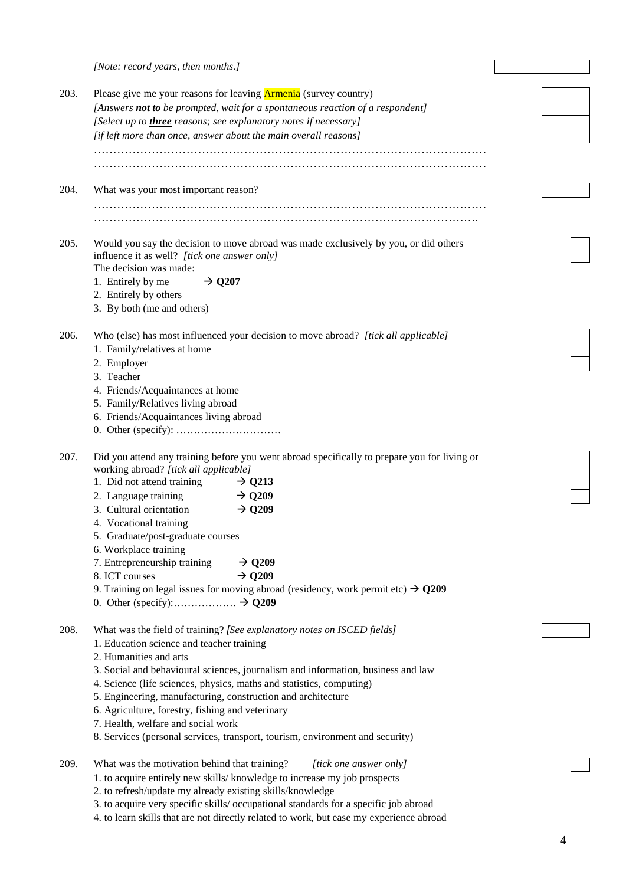|      | [Note: record years, then months.]                                                                                                         |  |  |  |
|------|--------------------------------------------------------------------------------------------------------------------------------------------|--|--|--|
| 203. | Please give me your reasons for leaving <b>Armenia</b> (survey country)                                                                    |  |  |  |
|      | [Answers not to be prompted, wait for a spontaneous reaction of a respondent]                                                              |  |  |  |
|      |                                                                                                                                            |  |  |  |
|      | [Select up to <i>three</i> reasons; see explanatory notes if necessary]<br>[if left more than once, answer about the main overall reasons] |  |  |  |
|      |                                                                                                                                            |  |  |  |
|      |                                                                                                                                            |  |  |  |
| 204. | What was your most important reason?                                                                                                       |  |  |  |
|      |                                                                                                                                            |  |  |  |
| 205. | Would you say the decision to move abroad was made exclusively by you, or did others<br>influence it as well? [tick one answer only]       |  |  |  |
|      | The decision was made:                                                                                                                     |  |  |  |
|      | 1. Entirely by me<br>$\rightarrow$ Q207                                                                                                    |  |  |  |
|      | 2. Entirely by others<br>3. By both (me and others)                                                                                        |  |  |  |
|      |                                                                                                                                            |  |  |  |
| 206. | Who (else) has most influenced your decision to move abroad? [tick all applicable]                                                         |  |  |  |
|      | 1. Family/relatives at home                                                                                                                |  |  |  |
|      | 2. Employer                                                                                                                                |  |  |  |
|      | 3. Teacher                                                                                                                                 |  |  |  |
|      | 4. Friends/Acquaintances at home                                                                                                           |  |  |  |
|      | 5. Family/Relatives living abroad                                                                                                          |  |  |  |
|      | 6. Friends/Acquaintances living abroad                                                                                                     |  |  |  |
|      |                                                                                                                                            |  |  |  |
| 207. | Did you attend any training before you went abroad specifically to prepare you for living or<br>working abroad? [tick all applicable]      |  |  |  |
|      | 1. Did not attend training<br>$\rightarrow$ Q213                                                                                           |  |  |  |
|      | $\rightarrow$ Q209<br>2. Language training                                                                                                 |  |  |  |
|      | 3. Cultural orientation<br>$\rightarrow$ Q209                                                                                              |  |  |  |
|      | 4. Vocational training                                                                                                                     |  |  |  |
|      | 5. Graduate/post-graduate courses                                                                                                          |  |  |  |
|      | 6. Workplace training                                                                                                                      |  |  |  |
|      | 7. Entrepreneurship training<br>$\rightarrow$ Q209                                                                                         |  |  |  |
|      | $\rightarrow$ Q209<br>8. ICT courses                                                                                                       |  |  |  |
|      | 9. Training on legal issues for moving abroad (residency, work permit etc) $\rightarrow$ Q209                                              |  |  |  |
|      |                                                                                                                                            |  |  |  |
|      |                                                                                                                                            |  |  |  |
| 208. | What was the field of training? [See explanatory notes on ISCED fields]                                                                    |  |  |  |
|      | 1. Education science and teacher training                                                                                                  |  |  |  |
|      | 2. Humanities and arts                                                                                                                     |  |  |  |
|      | 3. Social and behavioural sciences, journalism and information, business and law                                                           |  |  |  |
|      | 4. Science (life sciences, physics, maths and statistics, computing)                                                                       |  |  |  |
|      | 5. Engineering, manufacturing, construction and architecture                                                                               |  |  |  |
|      | 6. Agriculture, forestry, fishing and veterinary                                                                                           |  |  |  |
|      | 7. Health, welfare and social work                                                                                                         |  |  |  |
|      | 8. Services (personal services, transport, tourism, environment and security)                                                              |  |  |  |
| 209. | What was the motivation behind that training?<br>[tick one answer only]                                                                    |  |  |  |
|      | 1. to acquire entirely new skills/ knowledge to increase my job prospects                                                                  |  |  |  |
|      | 2. to refresh/update my already existing skills/knowledge                                                                                  |  |  |  |
|      | 3. to acquire very specific skills/ occupational standards for a specific job abroad                                                       |  |  |  |
|      | 4. to learn skills that are not directly related to work, but ease my experience abroad                                                    |  |  |  |
|      |                                                                                                                                            |  |  |  |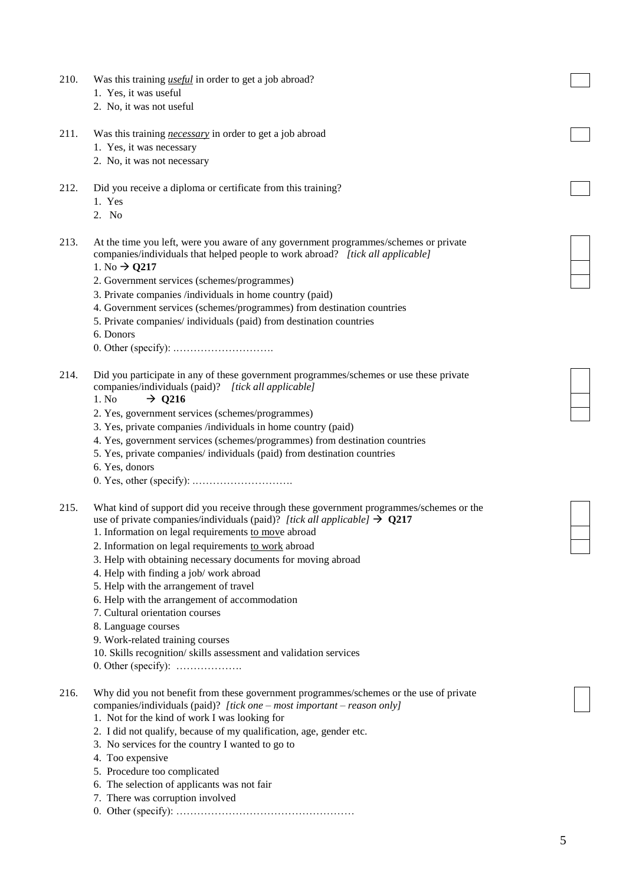| 210. | Was this training <i>useful</i> in order to get a job abroad?<br>1. Yes, it was useful                                                                                 |  |
|------|------------------------------------------------------------------------------------------------------------------------------------------------------------------------|--|
|      | 2. No, it was not useful                                                                                                                                               |  |
| 211. | Was this training <i>necessary</i> in order to get a job abroad                                                                                                        |  |
|      | 1. Yes, it was necessary                                                                                                                                               |  |
|      | 2. No, it was not necessary                                                                                                                                            |  |
|      |                                                                                                                                                                        |  |
| 212. | Did you receive a diploma or certificate from this training?                                                                                                           |  |
|      | 1. Yes                                                                                                                                                                 |  |
|      | 2. No                                                                                                                                                                  |  |
| 213. | At the time you left, were you aware of any government programmes/schemes or private<br>companies/individuals that helped people to work abroad? [tick all applicable] |  |
|      | 1. No $\rightarrow$ Q217                                                                                                                                               |  |
|      | 2. Government services (schemes/programmes)                                                                                                                            |  |
|      | 3. Private companies /individuals in home country (paid)                                                                                                               |  |
|      | 4. Government services (schemes/programmes) from destination countries<br>5. Private companies/ individuals (paid) from destination countries                          |  |
|      | 6. Donors                                                                                                                                                              |  |
|      |                                                                                                                                                                        |  |
|      |                                                                                                                                                                        |  |
| 214. | Did you participate in any of these government programmes/schemes or use these private                                                                                 |  |
|      | companies/individuals (paid)? [tick all applicable]                                                                                                                    |  |
|      | 1. No<br>$\rightarrow$ Q216                                                                                                                                            |  |
|      | 2. Yes, government services (schemes/programmes)                                                                                                                       |  |
|      | 3. Yes, private companies /individuals in home country (paid)<br>4. Yes, government services (schemes/programmes) from destination countries                           |  |
|      | 5. Yes, private companies/ individuals (paid) from destination countries                                                                                               |  |
|      | 6. Yes, donors                                                                                                                                                         |  |
|      | 0. Yes, other (specific):                                                                                                                                              |  |
|      |                                                                                                                                                                        |  |
| 215. | What kind of support did you receive through these government programmes/schemes or the                                                                                |  |
|      | use of private companies/individuals (paid)? [tick all applicable] $\rightarrow$ Q217<br>1. Information on legal requirements to move abroad                           |  |
|      | 2. Information on legal requirements to work abroad                                                                                                                    |  |
|      | 3. Help with obtaining necessary documents for moving abroad                                                                                                           |  |
|      | 4. Help with finding a job/ work abroad                                                                                                                                |  |
|      | 5. Help with the arrangement of travel                                                                                                                                 |  |
|      | 6. Help with the arrangement of accommodation                                                                                                                          |  |
|      | 7. Cultural orientation courses                                                                                                                                        |  |
|      | 8. Language courses                                                                                                                                                    |  |
|      | 9. Work-related training courses                                                                                                                                       |  |
|      | 10. Skills recognition/skills assessment and validation services                                                                                                       |  |
|      | 0. Other (specify): $\dots$                                                                                                                                            |  |
| 216. | Why did you not benefit from these government programmes/schemes or the use of private                                                                                 |  |
|      | companies/individuals (paid)? [tick one – most important – reason only]                                                                                                |  |
|      | 1. Not for the kind of work I was looking for                                                                                                                          |  |
|      | 2. I did not qualify, because of my qualification, age, gender etc.                                                                                                    |  |
|      | 3. No services for the country I wanted to go to                                                                                                                       |  |
|      | 4. Too expensive                                                                                                                                                       |  |
|      | 5. Procedure too complicated<br>6. The selection of applicants was not fair                                                                                            |  |
|      | 7. There was corruption involved                                                                                                                                       |  |
|      |                                                                                                                                                                        |  |
|      |                                                                                                                                                                        |  |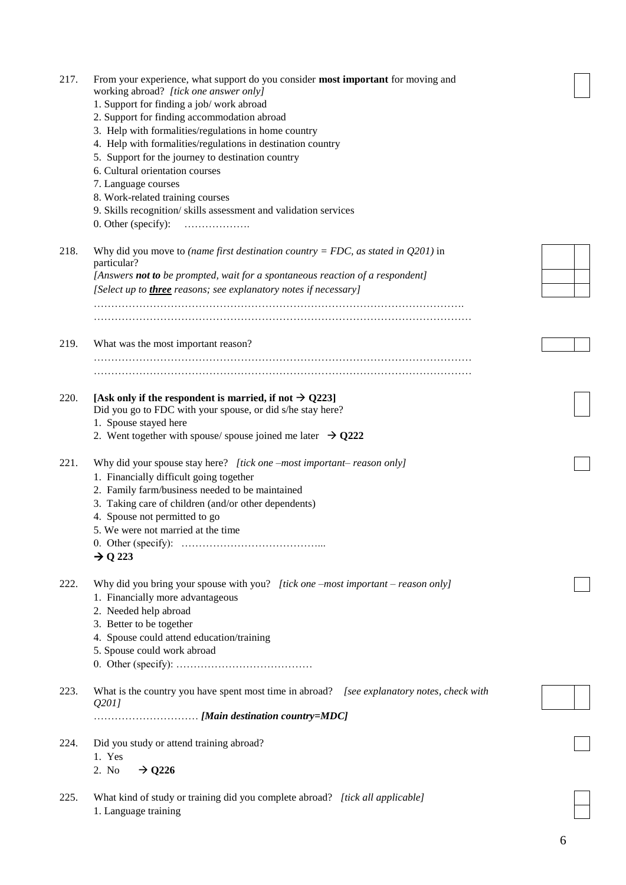| 217. | From your experience, what support do you consider most important for moving and<br>working abroad? [tick one answer only]<br>1. Support for finding a job/ work abroad<br>2. Support for finding accommodation abroad<br>3. Help with formalities/regulations in home country<br>4. Help with formalities/regulations in destination country<br>5. Support for the journey to destination country<br>6. Cultural orientation courses<br>7. Language courses<br>8. Work-related training courses<br>9. Skills recognition/skills assessment and validation services<br>0. Other (specify):<br>. |  |
|------|-------------------------------------------------------------------------------------------------------------------------------------------------------------------------------------------------------------------------------------------------------------------------------------------------------------------------------------------------------------------------------------------------------------------------------------------------------------------------------------------------------------------------------------------------------------------------------------------------|--|
| 218. | Why did you move to (name first destination country = FDC, as stated in $Q201$ ) in<br>particular?<br>[Answers not to be prompted, wait for a spontaneous reaction of a respondent]<br>[Select up to <i>three</i> reasons; see explanatory notes if necessary]                                                                                                                                                                                                                                                                                                                                  |  |
|      |                                                                                                                                                                                                                                                                                                                                                                                                                                                                                                                                                                                                 |  |
| 219. | What was the most important reason?                                                                                                                                                                                                                                                                                                                                                                                                                                                                                                                                                             |  |
| 220. | [Ask only if the respondent is married, if not $\rightarrow$ Q223]<br>Did you go to FDC with your spouse, or did s/he stay here?<br>1. Spouse stayed here<br>2. Went together with spouse/spouse joined me later $\rightarrow$ Q222                                                                                                                                                                                                                                                                                                                                                             |  |
| 221. | Why did your spouse stay here? [tick one -most important-reason only]<br>1. Financially difficult going together<br>2. Family farm/business needed to be maintained<br>3. Taking care of children (and/or other dependents)<br>4. Spouse not permitted to go<br>5. We were not married at the time<br>$\rightarrow$ Q 223                                                                                                                                                                                                                                                                       |  |
| 222. | Why did you bring your spouse with you? [tick one -most important - reason only]<br>1. Financially more advantageous<br>2. Needed help abroad<br>3. Better to be together<br>4. Spouse could attend education/training<br>5. Spouse could work abroad                                                                                                                                                                                                                                                                                                                                           |  |
| 223. | What is the country you have spent most time in abroad? [see explanatory notes, check with<br>Q201                                                                                                                                                                                                                                                                                                                                                                                                                                                                                              |  |
| 224. | Did you study or attend training abroad?<br>1. Yes<br>$\rightarrow$ Q226<br>2. No                                                                                                                                                                                                                                                                                                                                                                                                                                                                                                               |  |
| 225. | What kind of study or training did you complete abroad? [tick all applicable]<br>1. Language training                                                                                                                                                                                                                                                                                                                                                                                                                                                                                           |  |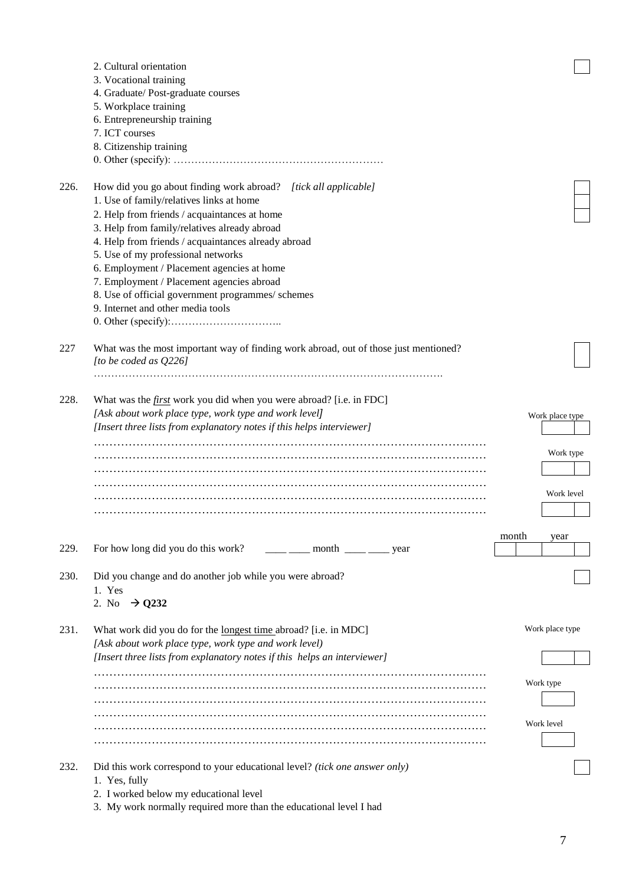|      | 2. Cultural orientation                                                                                                                                                                                                                                                                                                                                                                                                                                                 |                 |
|------|-------------------------------------------------------------------------------------------------------------------------------------------------------------------------------------------------------------------------------------------------------------------------------------------------------------------------------------------------------------------------------------------------------------------------------------------------------------------------|-----------------|
|      | 3. Vocational training                                                                                                                                                                                                                                                                                                                                                                                                                                                  |                 |
|      | 4. Graduate/ Post-graduate courses                                                                                                                                                                                                                                                                                                                                                                                                                                      |                 |
|      | 5. Workplace training                                                                                                                                                                                                                                                                                                                                                                                                                                                   |                 |
|      | 6. Entrepreneurship training<br>7. ICT courses                                                                                                                                                                                                                                                                                                                                                                                                                          |                 |
|      | 8. Citizenship training                                                                                                                                                                                                                                                                                                                                                                                                                                                 |                 |
|      |                                                                                                                                                                                                                                                                                                                                                                                                                                                                         |                 |
|      |                                                                                                                                                                                                                                                                                                                                                                                                                                                                         |                 |
| 226. | How did you go about finding work abroad? [tick all applicable]                                                                                                                                                                                                                                                                                                                                                                                                         |                 |
|      | 1. Use of family/relatives links at home                                                                                                                                                                                                                                                                                                                                                                                                                                |                 |
|      | 2. Help from friends / acquaintances at home                                                                                                                                                                                                                                                                                                                                                                                                                            |                 |
|      | 3. Help from family/relatives already abroad                                                                                                                                                                                                                                                                                                                                                                                                                            |                 |
|      | 4. Help from friends / acquaintances already abroad                                                                                                                                                                                                                                                                                                                                                                                                                     |                 |
|      | 5. Use of my professional networks                                                                                                                                                                                                                                                                                                                                                                                                                                      |                 |
|      | 6. Employment / Placement agencies at home                                                                                                                                                                                                                                                                                                                                                                                                                              |                 |
|      | 7. Employment / Placement agencies abroad                                                                                                                                                                                                                                                                                                                                                                                                                               |                 |
|      | 8. Use of official government programmes/ schemes                                                                                                                                                                                                                                                                                                                                                                                                                       |                 |
|      | 9. Internet and other media tools                                                                                                                                                                                                                                                                                                                                                                                                                                       |                 |
|      |                                                                                                                                                                                                                                                                                                                                                                                                                                                                         |                 |
| 227  | What was the most important way of finding work abroad, out of those just mentioned?<br>[to be coded as Q226]                                                                                                                                                                                                                                                                                                                                                           |                 |
|      |                                                                                                                                                                                                                                                                                                                                                                                                                                                                         |                 |
| 228. | What was the <i>first</i> work you did when you were abroad? [i.e. in FDC]                                                                                                                                                                                                                                                                                                                                                                                              |                 |
|      | [Ask about work place type, work type and work level]                                                                                                                                                                                                                                                                                                                                                                                                                   | Work place type |
|      | [Insert three lists from explanatory notes if this helps interviewer]                                                                                                                                                                                                                                                                                                                                                                                                   |                 |
|      |                                                                                                                                                                                                                                                                                                                                                                                                                                                                         |                 |
|      |                                                                                                                                                                                                                                                                                                                                                                                                                                                                         | Work type       |
|      |                                                                                                                                                                                                                                                                                                                                                                                                                                                                         |                 |
|      |                                                                                                                                                                                                                                                                                                                                                                                                                                                                         |                 |
|      |                                                                                                                                                                                                                                                                                                                                                                                                                                                                         | Work level      |
|      |                                                                                                                                                                                                                                                                                                                                                                                                                                                                         |                 |
|      |                                                                                                                                                                                                                                                                                                                                                                                                                                                                         |                 |
|      |                                                                                                                                                                                                                                                                                                                                                                                                                                                                         | month<br>year   |
| 229. | For how long did you do this work?<br>$\frac{1}{\sqrt{1-\frac{1}{\sqrt{1-\frac{1}{\sqrt{1-\frac{1}{\sqrt{1-\frac{1}{\sqrt{1-\frac{1}{\sqrt{1-\frac{1}{\sqrt{1-\frac{1}{\sqrt{1-\frac{1}{\sqrt{1-\frac{1}{\sqrt{1-\frac{1}{\sqrt{1-\frac{1}{\sqrt{1-\frac{1}{\sqrt{1-\frac{1}{\sqrt{1-\frac{1}{\sqrt{1-\frac{1}{\sqrt{1-\frac{1}{\sqrt{1-\frac{1}{\sqrt{1-\frac{1}{\sqrt{1-\frac{1}{\sqrt{1-\frac{1}{\sqrt{1-\frac{1}{\sqrt{1-\frac{1}{\sqrt{1-\frac{1}{\sqrt{1-\frac{1$ |                 |
| 230. | Did you change and do another job while you were abroad?                                                                                                                                                                                                                                                                                                                                                                                                                |                 |
|      | 1. Yes                                                                                                                                                                                                                                                                                                                                                                                                                                                                  |                 |
|      | 2. No $\rightarrow$ Q232                                                                                                                                                                                                                                                                                                                                                                                                                                                |                 |
| 231. | What work did you do for the <u>longest time</u> abroad? [i.e. in MDC]                                                                                                                                                                                                                                                                                                                                                                                                  | Work place type |
|      | [Ask about work place type, work type and work level)                                                                                                                                                                                                                                                                                                                                                                                                                   |                 |
|      | [Insert three lists from explanatory notes if this helps an interviewer]                                                                                                                                                                                                                                                                                                                                                                                                |                 |
|      |                                                                                                                                                                                                                                                                                                                                                                                                                                                                         |                 |
|      |                                                                                                                                                                                                                                                                                                                                                                                                                                                                         | Work type       |
|      |                                                                                                                                                                                                                                                                                                                                                                                                                                                                         |                 |
|      |                                                                                                                                                                                                                                                                                                                                                                                                                                                                         |                 |
|      |                                                                                                                                                                                                                                                                                                                                                                                                                                                                         | Work level      |
|      |                                                                                                                                                                                                                                                                                                                                                                                                                                                                         |                 |
|      |                                                                                                                                                                                                                                                                                                                                                                                                                                                                         |                 |
| 232. | Did this work correspond to your educational level? (tick one answer only)                                                                                                                                                                                                                                                                                                                                                                                              |                 |
|      | 1. Yes, fully<br>2. I worked below my educational level                                                                                                                                                                                                                                                                                                                                                                                                                 |                 |
|      | 3. My work normally required more than the educational level I had                                                                                                                                                                                                                                                                                                                                                                                                      |                 |
|      |                                                                                                                                                                                                                                                                                                                                                                                                                                                                         |                 |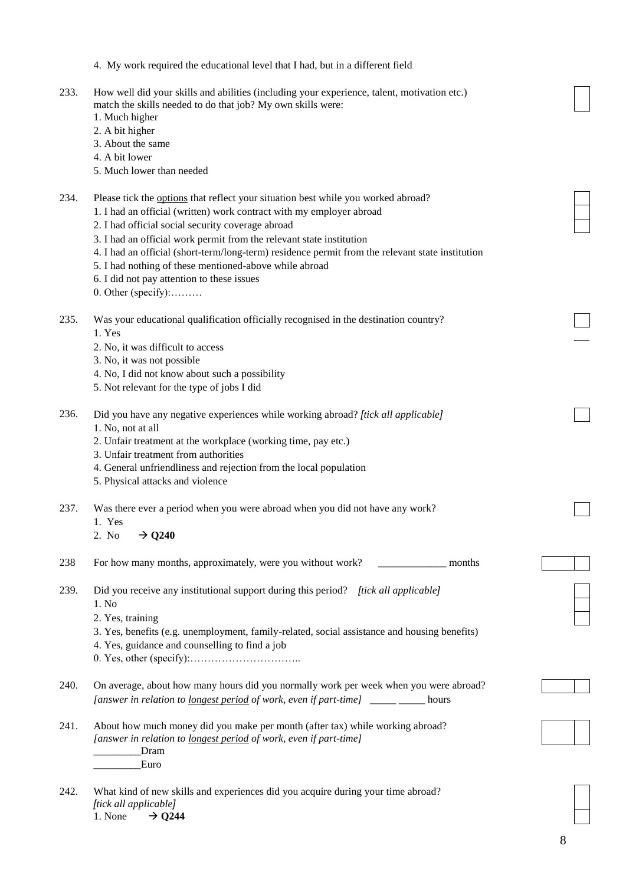|      | 4. My work required the educational level that I had, but in a different field                                                                                                                                                                                                                                                                                                                                                                                                                                              |  |
|------|-----------------------------------------------------------------------------------------------------------------------------------------------------------------------------------------------------------------------------------------------------------------------------------------------------------------------------------------------------------------------------------------------------------------------------------------------------------------------------------------------------------------------------|--|
| 233. | How well did your skills and abilities (including your experience, talent, motivation etc.)<br>match the skills needed to do that job? My own skills were:<br>1. Much higher<br>2. A bit higher<br>3. About the same<br>4. A bit lower<br>5. Much lower than needed                                                                                                                                                                                                                                                         |  |
| 234. | Please tick the options that reflect your situation best while you worked abroad?<br>1. I had an official (written) work contract with my employer abroad<br>2. I had official social security coverage abroad<br>3. I had an official work permit from the relevant state institution<br>4. I had an official (short-term/long-term) residence permit from the relevant state institution<br>5. I had nothing of these mentioned-above while abroad<br>6. I did not pay attention to these issues<br>$0.$ Other (specify): |  |
| 235. | Was your educational qualification officially recognised in the destination country?<br>1. Yes<br>2. No, it was difficult to access<br>3. No, it was not possible<br>4. No, I did not know about such a possibility<br>5. Not relevant for the type of jobs I did                                                                                                                                                                                                                                                           |  |
| 236. | Did you have any negative experiences while working abroad? [tick all applicable]<br>1. No, not at all<br>2. Unfair treatment at the workplace (working time, pay etc.)<br>3. Unfair treatment from authorities<br>4. General unfriendliness and rejection from the local population<br>5. Physical attacks and violence                                                                                                                                                                                                    |  |
| 237. | Was there ever a period when you were abroad when you did not have any work?<br>1. Yes<br>$\rightarrow$ Q240<br>2. No                                                                                                                                                                                                                                                                                                                                                                                                       |  |
| 238  | For how many months, approximately, were you without work?<br>months                                                                                                                                                                                                                                                                                                                                                                                                                                                        |  |
| 239. | Did you receive any institutional support during this period? [tick all applicable]<br>1. No<br>2. Yes, training<br>3. Yes, benefits (e.g. unemployment, family-related, social assistance and housing benefits)<br>4. Yes, guidance and counselling to find a job                                                                                                                                                                                                                                                          |  |
| 240. | On average, about how many hours did you normally work per week when you were abroad?<br>[answer in relation to <u>longest period</u> of work, even if part-time] _____________ hours                                                                                                                                                                                                                                                                                                                                       |  |
| 241. | About how much money did you make per month (after tax) while working abroad?<br>[answer in relation to longest period of work, even if part-time]<br>Dram<br>Euro                                                                                                                                                                                                                                                                                                                                                          |  |
| 242. | What kind of new skills and experiences did you acquire during your time abroad?<br>[tick all applicable]                                                                                                                                                                                                                                                                                                                                                                                                                   |  |

1. None  $\rightarrow$  Q244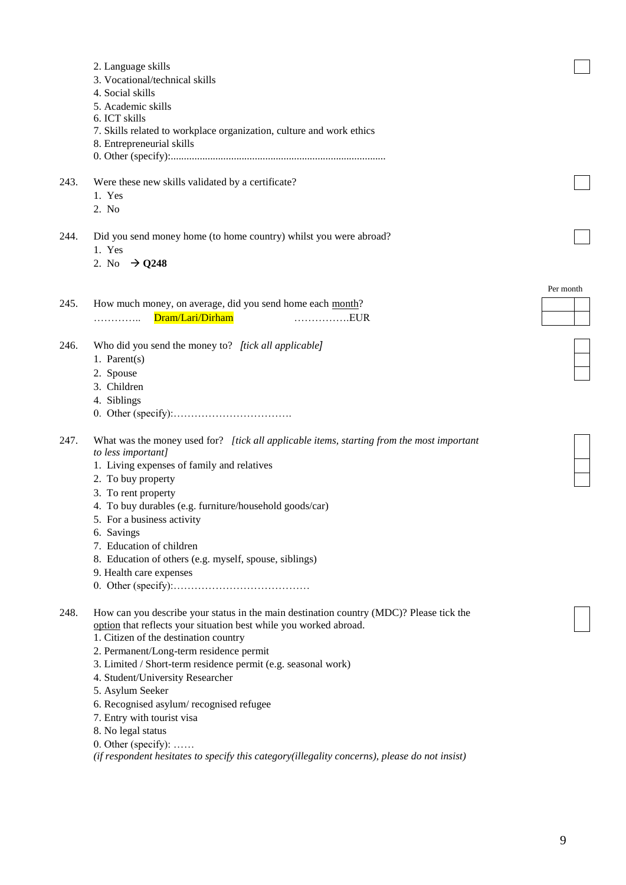|      | 2. Language skills                                                                                |           |
|------|---------------------------------------------------------------------------------------------------|-----------|
|      | 3. Vocational/technical skills<br>4. Social skills                                                |           |
|      | 5. Academic skills                                                                                |           |
|      | 6. ICT skills                                                                                     |           |
|      | 7. Skills related to workplace organization, culture and work ethics                              |           |
|      | 8. Entrepreneurial skills                                                                         |           |
|      |                                                                                                   |           |
| 243. | Were these new skills validated by a certificate?                                                 |           |
|      | 1. Yes                                                                                            |           |
|      | 2. No                                                                                             |           |
| 244. | Did you send money home (to home country) whilst you were abroad?                                 |           |
|      | 1. Yes                                                                                            |           |
|      | 2. No $\rightarrow$ Q248                                                                          |           |
|      |                                                                                                   |           |
|      |                                                                                                   | Per month |
| 245. | How much money, on average, did you send home each month?                                         |           |
|      | Dram/Lari/Dirham<br>EUR<br>.                                                                      |           |
| 246. | Who did you send the money to? [tick all applicable]                                              |           |
|      | 1. Parent $(s)$                                                                                   |           |
|      | 2. Spouse                                                                                         |           |
|      | 3. Children                                                                                       |           |
|      | 4. Siblings                                                                                       |           |
|      |                                                                                                   |           |
| 247. | What was the money used for? [tick all applicable items, starting from the most important         |           |
|      | to less important]                                                                                |           |
|      | 1. Living expenses of family and relatives                                                        |           |
|      | 2. To buy property                                                                                |           |
|      | 3. To rent property                                                                               |           |
|      | 4. To buy durables (e.g. furniture/household goods/car)                                           |           |
|      | 5. For a business activity                                                                        |           |
|      | 6. Savings                                                                                        |           |
|      | 7. Education of children                                                                          |           |
|      | 8. Education of others (e.g. myself, spouse, siblings)                                            |           |
|      | 9. Health care expenses                                                                           |           |
|      |                                                                                                   |           |
| 248. | How can you describe your status in the main destination country (MDC)? Please tick the           |           |
|      | option that reflects your situation best while you worked abroad.                                 |           |
|      | 1. Citizen of the destination country                                                             |           |
|      | 2. Permanent/Long-term residence permit                                                           |           |
|      | 3. Limited / Short-term residence permit (e.g. seasonal work)<br>4. Student/University Researcher |           |
|      | 5. Asylum Seeker                                                                                  |           |
|      | 6. Recognised asylum/recognised refugee                                                           |           |
|      | 7. Entry with tourist visa                                                                        |           |
|      | 8. No legal status                                                                                |           |
|      | 0. Other (specify): $\dots$                                                                       |           |
|      |                                                                                                   |           |

*(if respondent hesitates to specify this category(illegality concerns), please do not insist)*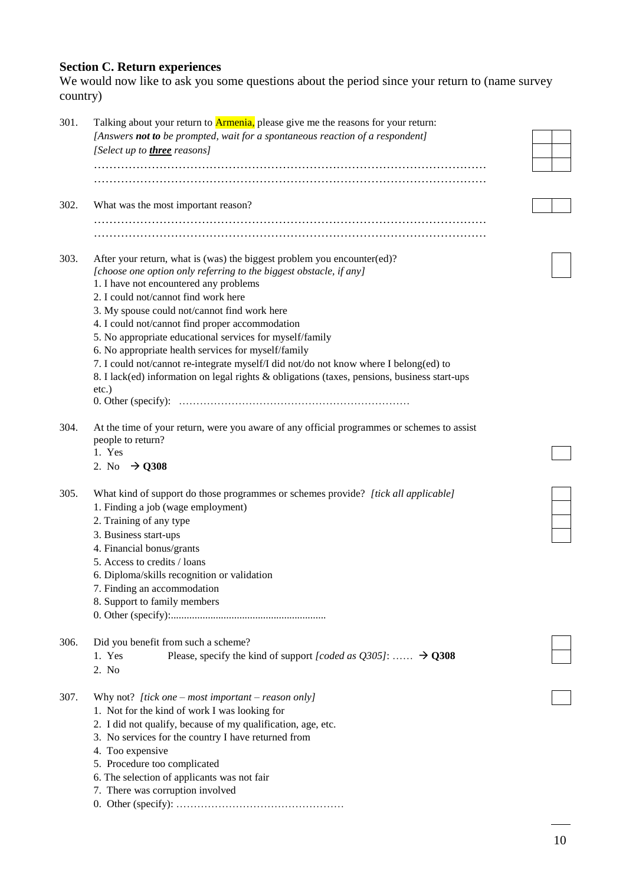#### **Section C. Return experiences**

We would now like to ask you some questions about the period since your return to (name survey country)

| 301. | Talking about your return to <b>Armenia</b> , please give me the reasons for your return:    |  |
|------|----------------------------------------------------------------------------------------------|--|
|      | [Answers not to be prompted, wait for a spontaneous reaction of a respondent]                |  |
|      | [Select up to <b>three</b> reasons]                                                          |  |
|      |                                                                                              |  |
|      |                                                                                              |  |
|      |                                                                                              |  |
| 302. | What was the most important reason?                                                          |  |
|      |                                                                                              |  |
|      |                                                                                              |  |
| 303. | After your return, what is (was) the biggest problem you encounter(ed)?                      |  |
|      | [choose one option only referring to the biggest obstacle, if any]                           |  |
|      | 1. I have not encountered any problems                                                       |  |
|      | 2. I could not/cannot find work here                                                         |  |
|      |                                                                                              |  |
|      | 3. My spouse could not/cannot find work here                                                 |  |
|      | 4. I could not/cannot find proper accommodation                                              |  |
|      | 5. No appropriate educational services for myself/family                                     |  |
|      | 6. No appropriate health services for myself/family                                          |  |
|      | 7. I could not/cannot re-integrate myself/I did not/do not know where I belong(ed) to        |  |
|      | 8. I lack(ed) information on legal rights & obligations (taxes, pensions, business start-ups |  |
|      | $etc.$ )                                                                                     |  |
|      |                                                                                              |  |
| 304. | At the time of your return, were you aware of any official programmes or schemes to assist   |  |
|      | people to return?                                                                            |  |
|      | 1. Yes                                                                                       |  |
|      | 2. No $\rightarrow$ Q308                                                                     |  |
|      |                                                                                              |  |
| 305. | What kind of support do those programmes or schemes provide? [tick all applicable]           |  |
|      | 1. Finding a job (wage employment)                                                           |  |
|      | 2. Training of any type                                                                      |  |
|      |                                                                                              |  |
|      | 3. Business start-ups                                                                        |  |
|      | 4. Financial bonus/grants                                                                    |  |
|      | 5. Access to credits / loans                                                                 |  |
|      | 6. Diploma/skills recognition or validation                                                  |  |
|      | 7. Finding an accommodation                                                                  |  |
|      | 8. Support to family members                                                                 |  |
|      |                                                                                              |  |
|      |                                                                                              |  |
| 306. | Did you benefit from such a scheme?                                                          |  |
|      | Please, specify the kind of support [coded as $Q305$ ]: $\rightarrow$ Q308<br>1. Yes         |  |
|      | 2. No                                                                                        |  |
|      |                                                                                              |  |
| 307. | Why not? [tick one – most important – reason only]                                           |  |
|      | 1. Not for the kind of work I was looking for                                                |  |
|      | 2. I did not qualify, because of my qualification, age, etc.                                 |  |
|      | 3. No services for the country I have returned from                                          |  |
|      | 4. Too expensive                                                                             |  |
|      | 5. Procedure too complicated                                                                 |  |
|      | 6. The selection of applicants was not fair                                                  |  |
|      | 7. There was corruption involved                                                             |  |
|      |                                                                                              |  |
|      |                                                                                              |  |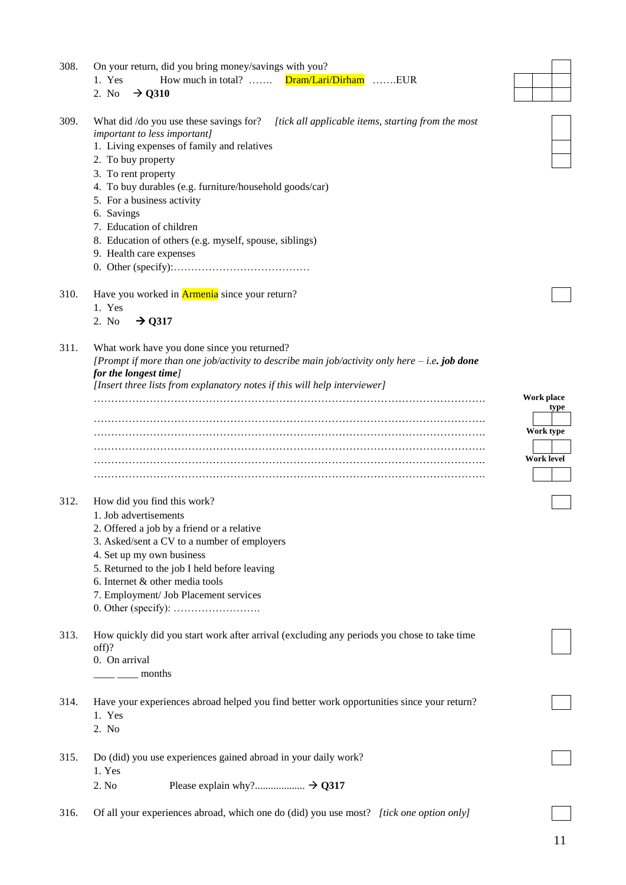| 308. | On your return, did you bring money/savings with you?                                                  |                    |
|------|--------------------------------------------------------------------------------------------------------|--------------------|
|      | Dram/Lari/Dirham EUR<br>1. Yes<br>How much in total? $\dots$                                           |                    |
|      | 2. No<br>$\rightarrow$ Q310                                                                            |                    |
|      |                                                                                                        |                    |
| 309. | What did /do you use these savings for?<br>[tick all applicable items, starting from the most          |                    |
|      | important to less important]                                                                           |                    |
|      | 1. Living expenses of family and relatives                                                             |                    |
|      | 2. To buy property                                                                                     |                    |
|      | 3. To rent property                                                                                    |                    |
|      | 4. To buy durables (e.g. furniture/household goods/car)                                                |                    |
|      | 5. For a business activity                                                                             |                    |
|      | 6. Savings                                                                                             |                    |
|      | 7. Education of children                                                                               |                    |
|      | 8. Education of others (e.g. myself, spouse, siblings)                                                 |                    |
|      | 9. Health care expenses                                                                                |                    |
|      |                                                                                                        |                    |
|      |                                                                                                        |                    |
| 310. | Have you worked in <b>Armenia</b> since your return?                                                   |                    |
|      | 1. Yes                                                                                                 |                    |
|      | 2. No<br>$\rightarrow$ Q317                                                                            |                    |
|      |                                                                                                        |                    |
| 311. | What work have you done since you returned?                                                            |                    |
|      | [Prompt if more than one job/activity to describe main job/activity only here $-$ <i>i.e.</i> job done |                    |
|      | for the longest time]                                                                                  |                    |
|      | [Insert three lists from explanatory notes if this will help interviewer]                              |                    |
|      |                                                                                                        | Work place<br>type |
|      |                                                                                                        |                    |
|      |                                                                                                        | Work type          |
|      |                                                                                                        |                    |
|      |                                                                                                        | <b>Work level</b>  |
|      |                                                                                                        |                    |
|      |                                                                                                        |                    |
| 312. | How did you find this work?                                                                            |                    |
|      | 1. Job advertisements                                                                                  |                    |
|      | 2. Offered a job by a friend or a relative                                                             |                    |
|      | 3. Asked/sent a CV to a number of employers                                                            |                    |
|      | 4. Set up my own business                                                                              |                    |
|      | 5. Returned to the job I held before leaving                                                           |                    |
|      |                                                                                                        |                    |
|      | 6. Internet & other media tools                                                                        |                    |
|      | 7. Employment/ Job Placement services                                                                  |                    |
|      |                                                                                                        |                    |
| 313. | How quickly did you start work after arrival (excluding any periods you chose to take time             |                    |
|      | $off$ ?                                                                                                |                    |
|      | 0. On arrival                                                                                          |                    |
|      | months                                                                                                 |                    |
|      |                                                                                                        |                    |
| 314. | Have your experiences abroad helped you find better work opportunities since your return?              |                    |
|      | 1. Yes                                                                                                 |                    |
|      | 2. No                                                                                                  |                    |
|      |                                                                                                        |                    |
| 315. | Do (did) you use experiences gained abroad in your daily work?                                         |                    |
|      | 1. Yes                                                                                                 |                    |
|      | 2. No                                                                                                  |                    |
|      |                                                                                                        |                    |
| 316. | Of all your experiences abroad, which one do (did) you use most? [tick one option only]                |                    |
|      |                                                                                                        |                    |

r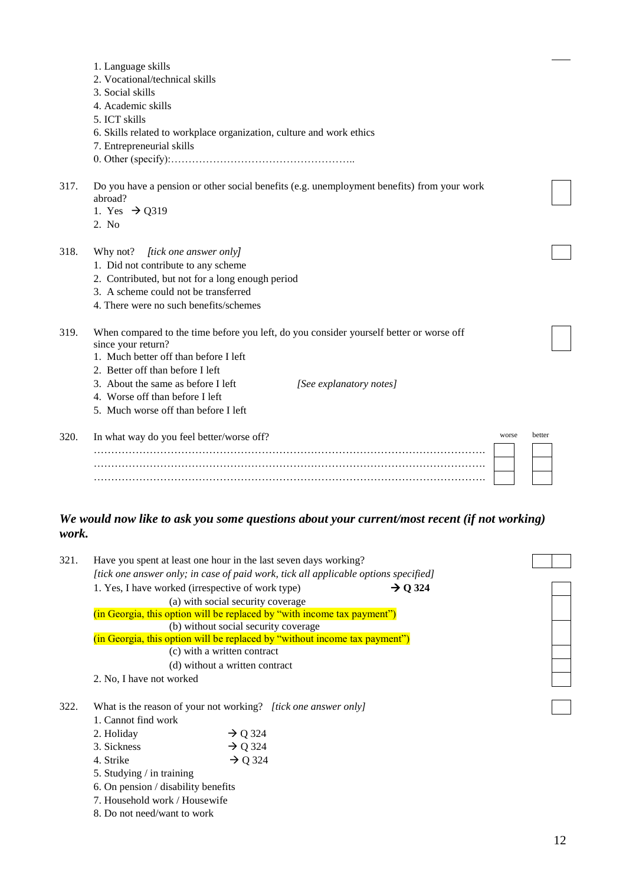|      | 1. Language skills                                                                                            |                         |       |        |
|------|---------------------------------------------------------------------------------------------------------------|-------------------------|-------|--------|
|      | 2. Vocational/technical skills                                                                                |                         |       |        |
|      | 3. Social skills                                                                                              |                         |       |        |
|      | 4. Academic skills                                                                                            |                         |       |        |
|      | 5. ICT skills                                                                                                 |                         |       |        |
|      |                                                                                                               |                         |       |        |
|      | 6. Skills related to workplace organization, culture and work ethics                                          |                         |       |        |
|      | 7. Entrepreneurial skills                                                                                     |                         |       |        |
|      |                                                                                                               |                         |       |        |
| 317. | Do you have a pension or other social benefits (e.g. unemployment benefits) from your work<br>abroad?         |                         |       |        |
|      | 1. Yes $\rightarrow$ Q319                                                                                     |                         |       |        |
|      | 2. No                                                                                                         |                         |       |        |
| 318. | [tick one answer only]<br>Why not?                                                                            |                         |       |        |
|      | 1. Did not contribute to any scheme                                                                           |                         |       |        |
|      | 2. Contributed, but not for a long enough period                                                              |                         |       |        |
|      | 3. A scheme could not be transferred                                                                          |                         |       |        |
|      | 4. There were no such benefits/schemes                                                                        |                         |       |        |
| 319. | When compared to the time before you left, do you consider yourself better or worse off<br>since your return? |                         |       |        |
|      | 1. Much better off than before I left                                                                         |                         |       |        |
|      | 2. Better off than before I left                                                                              |                         |       |        |
|      | 3. About the same as before I left                                                                            | [See explanatory notes] |       |        |
|      | 4. Worse off than before I left                                                                               |                         |       |        |
|      | 5. Much worse off than before I left                                                                          |                         |       |        |
| 320. | In what way do you feel better/worse off?                                                                     |                         | worse | better |
|      |                                                                                                               |                         |       |        |
|      |                                                                                                               |                         |       |        |
|      |                                                                                                               |                         |       |        |
|      |                                                                                                               |                         |       |        |
|      |                                                                                                               |                         |       |        |

## *We would now like to ask you some questions about your current/most recent (if not working) work.*

| 321. |                                     | Have you spent at least one hour in the last seven days working?                    |                     |  |
|------|-------------------------------------|-------------------------------------------------------------------------------------|---------------------|--|
|      |                                     | [tick one answer only; in case of paid work, tick all applicable options specified] |                     |  |
|      |                                     | 1. Yes, I have worked (irrespective of work type)                                   | $\rightarrow$ Q 324 |  |
|      |                                     | (a) with social security coverage                                                   |                     |  |
|      |                                     | (in Georgia, this option will be replaced by "with income tax payment")             |                     |  |
|      |                                     | (b) without social security coverage                                                |                     |  |
|      |                                     | (in Georgia, this option will be replaced by "without income tax payment")          |                     |  |
|      |                                     | (c) with a written contract                                                         |                     |  |
|      |                                     | (d) without a written contract                                                      |                     |  |
|      | 2. No, I have not worked            |                                                                                     |                     |  |
|      |                                     |                                                                                     |                     |  |
| 322. |                                     | What is the reason of your not working? [tick one answer only]                      |                     |  |
|      | 1. Cannot find work                 |                                                                                     |                     |  |
|      | 2. Holiday                          | $\rightarrow$ Q 324                                                                 |                     |  |
|      | 3. Sickness                         | $\rightarrow$ Q 324                                                                 |                     |  |
|      | 4. Strike                           | $\rightarrow$ Q 324                                                                 |                     |  |
|      | 5. Studying / in training           |                                                                                     |                     |  |
|      | 6. On pension / disability benefits |                                                                                     |                     |  |
|      | 7. Household work / Housewife       |                                                                                     |                     |  |
|      | 8. Do not need/want to work         |                                                                                     |                     |  |
|      |                                     |                                                                                     |                     |  |
|      |                                     |                                                                                     |                     |  |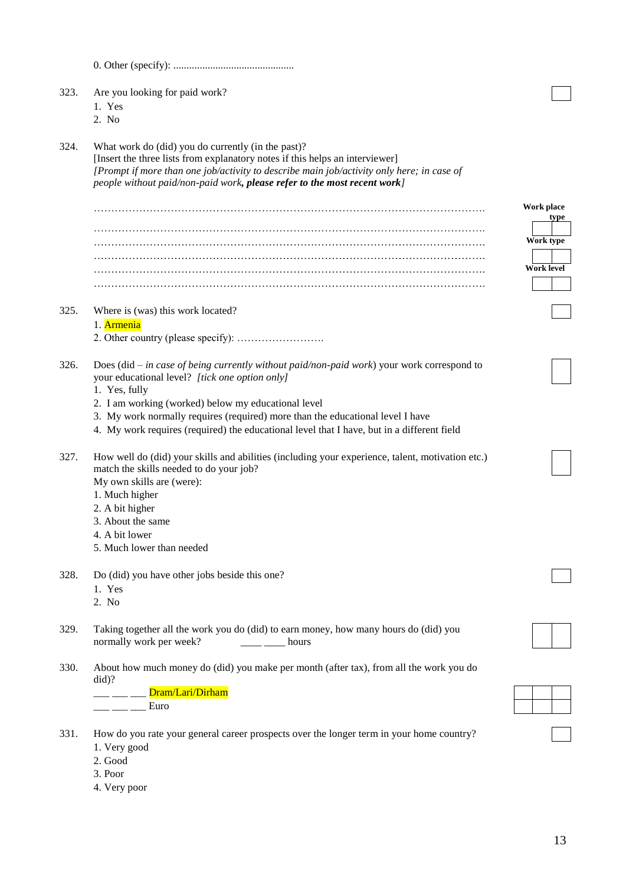| 323. | Are you looking for paid work?<br>1. Yes<br>2. No                                                                                                                                                                                                                                                                                                                                                      |                         |
|------|--------------------------------------------------------------------------------------------------------------------------------------------------------------------------------------------------------------------------------------------------------------------------------------------------------------------------------------------------------------------------------------------------------|-------------------------|
| 324. | What work do (did) you do currently (in the past)?<br>[Insert the three lists from explanatory notes if this helps an interviewer]<br>[Prompt if more than one job/activity to describe main job/activity only here; in case of<br>people without paid/non-paid work, please refer to the most recent work]                                                                                            |                         |
|      |                                                                                                                                                                                                                                                                                                                                                                                                        | Work place              |
|      |                                                                                                                                                                                                                                                                                                                                                                                                        | type                    |
|      |                                                                                                                                                                                                                                                                                                                                                                                                        | Work type<br>Work level |
|      |                                                                                                                                                                                                                                                                                                                                                                                                        |                         |
| 325. | Where is (was) this work located?<br>1. Armenia                                                                                                                                                                                                                                                                                                                                                        |                         |
| 326. | Does (did $-$ in case of being currently without paid/non-paid work) your work correspond to<br>your educational level? [tick one option only]<br>1. Yes, fully<br>2. I am working (worked) below my educational level<br>3. My work normally requires (required) more than the educational level I have<br>4. My work requires (required) the educational level that I have, but in a different field |                         |
| 327. | How well do (did) your skills and abilities (including your experience, talent, motivation etc.)<br>match the skills needed to do your job?<br>My own skills are (were):<br>1. Much higher<br>2. A bit higher<br>3. About the same<br>4. A bit lower<br>5. Much lower than needed                                                                                                                      |                         |
| 328. | Do (did) you have other jobs beside this one?<br>1. Yes<br>2. No                                                                                                                                                                                                                                                                                                                                       |                         |
| 329. | Taking together all the work you do (did) to earn money, how many hours do (did) you<br>normally work per week?<br>hours                                                                                                                                                                                                                                                                               |                         |
| 330. | About how much money do (did) you make per month (after tax), from all the work you do<br>did)?<br>Dram/Lari/Dirham<br>Euro                                                                                                                                                                                                                                                                            |                         |
| 331. | How do you rate your general career prospects over the longer term in your home country?<br>1. Very good<br>2. Good<br>3. Poor<br>4. Very poor                                                                                                                                                                                                                                                         |                         |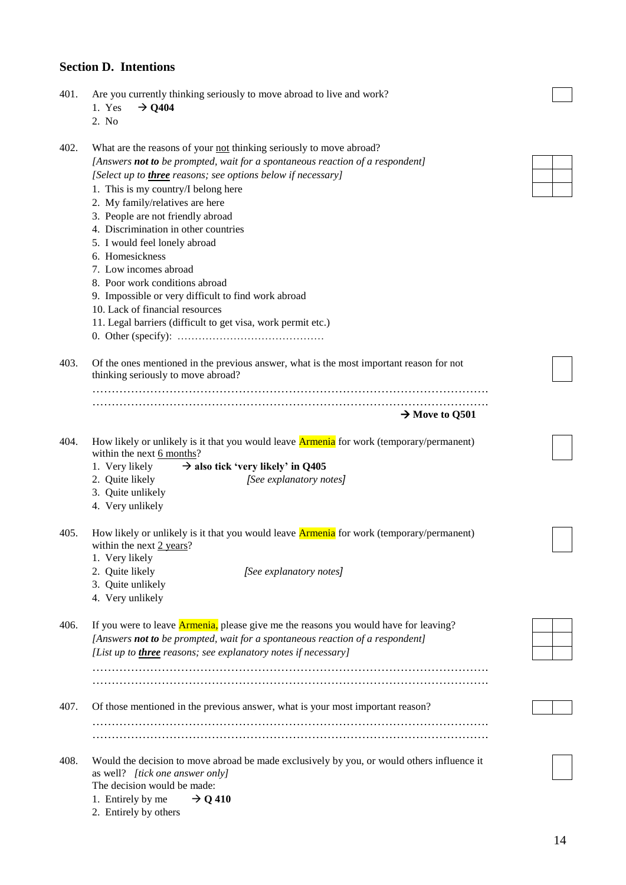## **Section D. Intentions**

| 401. | Are you currently thinking seriously to move abroad to live and work?<br>$\rightarrow$ Q404<br>1. Yes<br>2. No                                                                                                                                                                                                                                                                                                                                                                                                                                                                                                                                              |  |
|------|-------------------------------------------------------------------------------------------------------------------------------------------------------------------------------------------------------------------------------------------------------------------------------------------------------------------------------------------------------------------------------------------------------------------------------------------------------------------------------------------------------------------------------------------------------------------------------------------------------------------------------------------------------------|--|
| 402. | What are the reasons of your not thinking seriously to move abroad?<br>[Answers not to be prompted, wait for a spontaneous reaction of a respondent]<br>[Select up to <i>three</i> reasons; see options below if necessary]<br>1. This is my country/I belong here<br>2. My family/relatives are here<br>3. People are not friendly abroad<br>4. Discrimination in other countries<br>5. I would feel lonely abroad<br>6. Homesickness<br>7. Low incomes abroad<br>8. Poor work conditions abroad<br>9. Impossible or very difficult to find work abroad<br>10. Lack of financial resources<br>11. Legal barriers (difficult to get visa, work permit etc.) |  |
| 403. | Of the ones mentioned in the previous answer, what is the most important reason for not<br>thinking seriously to move abroad?                                                                                                                                                                                                                                                                                                                                                                                                                                                                                                                               |  |
|      | $\rightarrow$ Move to Q501                                                                                                                                                                                                                                                                                                                                                                                                                                                                                                                                                                                                                                  |  |
| 404. | How likely or unlikely is it that you would leave <b>Armenia</b> for work (temporary/permanent)<br>within the next 6 months?<br>1. Very likely<br>$\rightarrow$ also tick 'very likely' in Q405<br>2. Quite likely<br>[See explanatory notes]<br>3. Quite unlikely<br>4. Very unlikely                                                                                                                                                                                                                                                                                                                                                                      |  |
| 405. | How likely or unlikely is it that you would leave <b>Armenia</b> for work (temporary/permanent)<br>within the next $2$ years?<br>1. Very likely<br>2. Quite likely<br>[See explanatory notes]<br>3. Quite unlikely<br>4. Very unlikely                                                                                                                                                                                                                                                                                                                                                                                                                      |  |
| 406. | If you were to leave <b>Armenia</b> , please give me the reasons you would have for leaving?<br>[Answers not to be prompted, wait for a spontaneous reaction of a respondent]<br>[List up to <i>three</i> reasons; see explanatory notes if necessary]                                                                                                                                                                                                                                                                                                                                                                                                      |  |
| 407. | Of those mentioned in the previous answer, what is your most important reason?                                                                                                                                                                                                                                                                                                                                                                                                                                                                                                                                                                              |  |
| 408. | Would the decision to move abroad be made exclusively by you, or would others influence it<br>as well? [tick one answer only]<br>The decision would be made:<br>1. Entirely by me<br>$\rightarrow$ Q 410                                                                                                                                                                                                                                                                                                                                                                                                                                                    |  |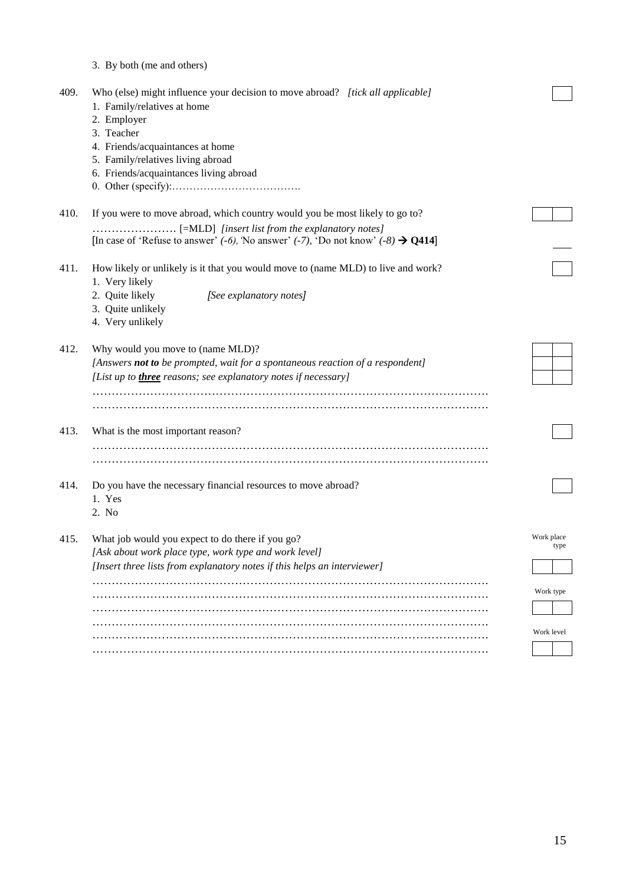|      | 3. By both (me and others)                                                                                                                                                                                                                                    |                    |
|------|---------------------------------------------------------------------------------------------------------------------------------------------------------------------------------------------------------------------------------------------------------------|--------------------|
| 409. | Who (else) might influence your decision to move abroad? [tick all applicable]<br>1. Family/relatives at home<br>2. Employer<br>3. Teacher<br>4. Friends/acquaintances at home<br>5. Family/relatives living abroad<br>6. Friends/acquaintances living abroad |                    |
| 410. | If you were to move abroad, which country would you be most likely to go to?                                                                                                                                                                                  |                    |
|      | [In case of 'Refuse to answer' $(-6)$ , 'No answer' $(-7)$ , 'Do not know' $(-8) \rightarrow Q414$ ]                                                                                                                                                          |                    |
| 411. | How likely or unlikely is it that you would move to (name MLD) to live and work?<br>1. Very likely<br>2. Quite likely<br>[See explanatory notes]<br>3. Quite unlikely<br>4. Very unlikely                                                                     |                    |
| 412. | Why would you move to (name MLD)?<br>[Answers not to be prompted, wait for a spontaneous reaction of a respondent]<br>[List up to <i>three</i> reasons; see explanatory notes if necessary]                                                                   |                    |
| 413. | What is the most important reason?                                                                                                                                                                                                                            |                    |
| 414. | Do you have the necessary financial resources to move abroad?<br>1. Yes<br>2. No                                                                                                                                                                              |                    |
| 415. | What job would you expect to do there if you go?<br>[Ask about work place type, work type and work level]<br>[Insert three lists from explanatory notes if this helps an interviewer]                                                                         | Work place<br>type |
|      |                                                                                                                                                                                                                                                               | Work type          |
|      |                                                                                                                                                                                                                                                               | Work level         |
|      |                                                                                                                                                                                                                                                               |                    |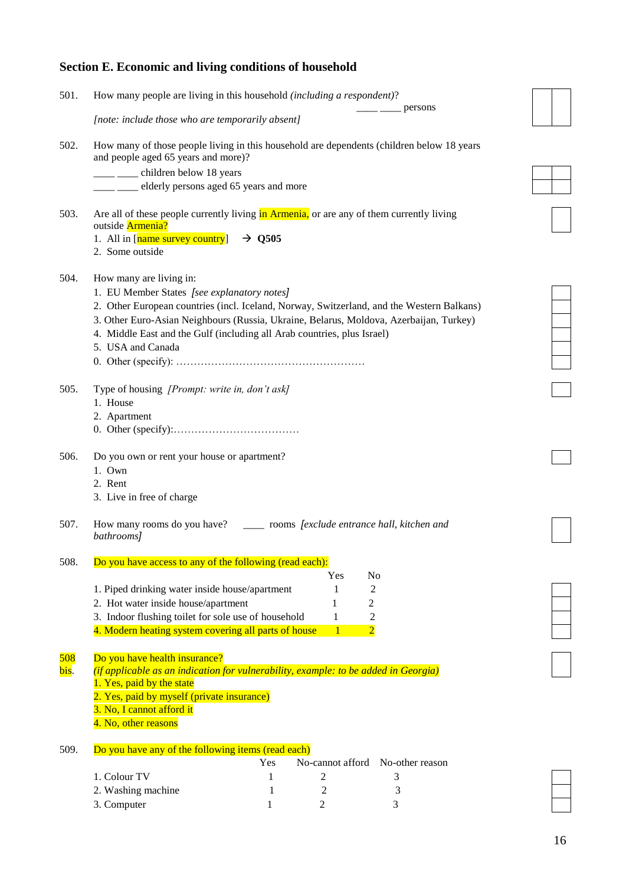# **Section E. Economic and living conditions of household**

| 501. | How many people are living in this household (including a respondent)?<br>persons                                                                                     |  |
|------|-----------------------------------------------------------------------------------------------------------------------------------------------------------------------|--|
|      | [note: include those who are temporarily absent]                                                                                                                      |  |
| 502. | How many of those people living in this household are dependents (children below 18 years<br>and people aged 65 years and more)?                                      |  |
|      | ___ ___ children below 18 years                                                                                                                                       |  |
|      | ___ ___ elderly persons aged 65 years and more                                                                                                                        |  |
| 503. | Are all of these people currently living in Armenia, or are any of them currently living<br>outside Armenia?<br>1. All in [name survey country]<br>$\rightarrow$ Q505 |  |
|      | 2. Some outside                                                                                                                                                       |  |
| 504. | How many are living in:<br>1. EU Member States [see explanatory notes]                                                                                                |  |
|      | 2. Other European countries (incl. Iceland, Norway, Switzerland, and the Western Balkans)                                                                             |  |
|      | 3. Other Euro-Asian Neighbours (Russia, Ukraine, Belarus, Moldova, Azerbaijan, Turkey)                                                                                |  |
|      | 4. Middle East and the Gulf (including all Arab countries, plus Israel)                                                                                               |  |
|      | 5. USA and Canada                                                                                                                                                     |  |
|      |                                                                                                                                                                       |  |
|      |                                                                                                                                                                       |  |
| 505. | Type of housing [Prompt: write in, don't ask]                                                                                                                         |  |
|      | 1. House                                                                                                                                                              |  |
|      | 2. Apartment                                                                                                                                                          |  |
|      |                                                                                                                                                                       |  |
| 506. | Do you own or rent your house or apartment?                                                                                                                           |  |
|      | 1. Own                                                                                                                                                                |  |
|      | 2. Rent                                                                                                                                                               |  |
|      | 3. Live in free of charge                                                                                                                                             |  |
| 507. | How many rooms do you have? _______ rooms [exclude entrance hall, kitchen and<br>bathrooms]                                                                           |  |
| 508. | Do you have access to any of the following (read each):                                                                                                               |  |
|      | N <sub>o</sub><br>Yes                                                                                                                                                 |  |
|      | 2<br>1. Piped drinking water inside house/apartment<br>1                                                                                                              |  |
|      | 2. Hot water inside house/apartment<br>2<br>1                                                                                                                         |  |
|      | 3. Indoor flushing toilet for sole use of household<br>$\overline{c}$<br>1                                                                                            |  |
|      | $\overline{2}$<br>4. Modern heating system covering all parts of house<br>$\mathbf{1}$                                                                                |  |
| 508  | Do you have health insurance?                                                                                                                                         |  |
| bis. | (if applicable as an indication for vulnerability, example: to be added in Georgia)                                                                                   |  |
|      | 1. Yes, paid by the state                                                                                                                                             |  |
|      | 2. Yes, paid by myself (private insurance)                                                                                                                            |  |
|      | 3. No, I cannot afford it                                                                                                                                             |  |
|      | 4. No, other reasons                                                                                                                                                  |  |
| 509. | Do you have any of the following items (read each)                                                                                                                    |  |
|      | Yes<br>No-cannot afford<br>No-other reason                                                                                                                            |  |
|      | 1. Colour TV<br>2<br>3<br>1                                                                                                                                           |  |
|      | 2. Washing machine<br>1<br>2<br>3                                                                                                                                     |  |
|      | 3. Computer<br>3<br>1<br>2                                                                                                                                            |  |
|      |                                                                                                                                                                       |  |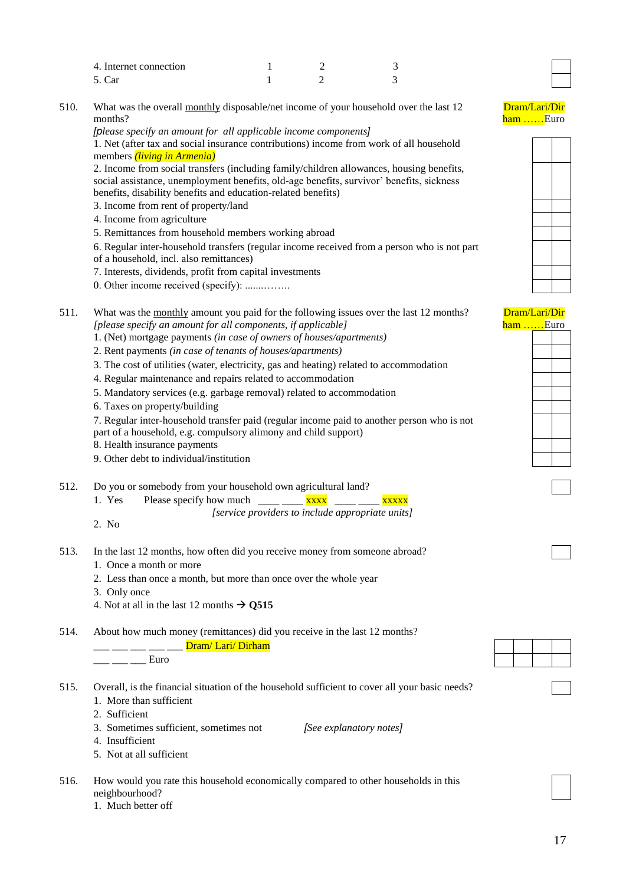| 4. Internet connection |  |  |
|------------------------|--|--|
| 5. Car                 |  |  |

510. What was the overall monthly disposable/net income of your household over the last 12 months?

*[please specify an amount for all applicable income components]* 1. Net (after tax and social insurance contributions) income from work of all household members *(living in Armenia)*

2. Income from social transfers (including family/children allowances, housing benefits, social assistance, unemployment benefits, old-age benefits, survivor' benefits, sickness benefits, disability benefits and education-related benefits)

- 3. Income from rent of property/land
- 4. Income from agriculture
- 5. Remittances from household members working abroad

6. Regular inter-household transfers (regular income received from a person who is not part

- of a household, incl. also remittances)
- 7. Interests, dividends, profit from capital investments
- 0. Other income received (specify): .......……..

| 511. | What was the <u>monthly</u> amount you paid for the following issues over the last 12 months? |
|------|-----------------------------------------------------------------------------------------------|
|      | [please specify an amount for all components, if applicable]                                  |

- 1. (Net) mortgage payments *(in case of owners of houses/apartments)*
- 2. Rent payments *(in case of tenants of houses/apartments)*
- 3. The cost of utilities (water, electricity, gas and heating) related to accommodation
- 4. Regular maintenance and repairs related to accommodation
- 5. Mandatory services (e.g. garbage removal) related to accommodation
- 6. Taxes on property/building
- 7. Regular inter-household transfer paid (regular income paid to another person who is not part of a household, e.g. compulsory alimony and child support)
- 8. Health insurance payments
- 9. Other debt to individual/institution
- 512. Do you or somebody from your household own agricultural land?

1. Yes Please specify how much  $\frac{1}{\sqrt{2}}$  xxxx  $\frac{1}{\sqrt{2}}$  xxxxx *[service providers to include appropriate units]*

- 2. No
- 513. In the last 12 months, how often did you receive money from someone abroad?
	- 1. Once a month or more
	- 2. Less than once a month, but more than once over the whole year
	- 3. Only once
	- 4. Not at all in the last 12 months  $\rightarrow$  0515
- 514. About how much money (remittances) did you receive in the last 12 months?

|  | Dram/Lari/Dirham |  |
|--|------------------|--|
|  |                  |  |

 $\overline{\phantom{a}}$   $\overline{\phantom{a}}$   $\overline{\phantom{a}}$   $\overline{\phantom{a}}$   $\overline{\phantom{a}}$   $\overline{\phantom{a}}$   $\overline{\phantom{a}}$   $\overline{\phantom{a}}$   $\overline{\phantom{a}}$   $\overline{\phantom{a}}$   $\overline{\phantom{a}}$   $\overline{\phantom{a}}$   $\overline{\phantom{a}}$   $\overline{\phantom{a}}$   $\overline{\phantom{a}}$   $\overline{\phantom{a}}$   $\overline{\phantom{a}}$   $\overline{\phantom{a}}$   $\overline{\$ 

515. Overall, is the financial situation of the household sufficient to cover all your basic needs? 1. More than sufficient

- 2. Sufficient
- 3. Sometimes sufficient, sometimes not *[See explanatory notes]*
- 4. Insufficient
- 5. Not at all sufficient
- 516. How would you rate this household economically compared to other households in this neighbourhood?
	- 1. Much better off





| <u>Lari/Dir</u> |      |  |  |  |  |  |
|-----------------|------|--|--|--|--|--|
|                 | Euro |  |  |  |  |  |
|                 |      |  |  |  |  |  |
|                 |      |  |  |  |  |  |
|                 |      |  |  |  |  |  |
|                 |      |  |  |  |  |  |
|                 |      |  |  |  |  |  |
|                 |      |  |  |  |  |  |
|                 |      |  |  |  |  |  |
|                 |      |  |  |  |  |  |
|                 |      |  |  |  |  |  |
|                 |      |  |  |  |  |  |
|                 |      |  |  |  |  |  |

Drai ham